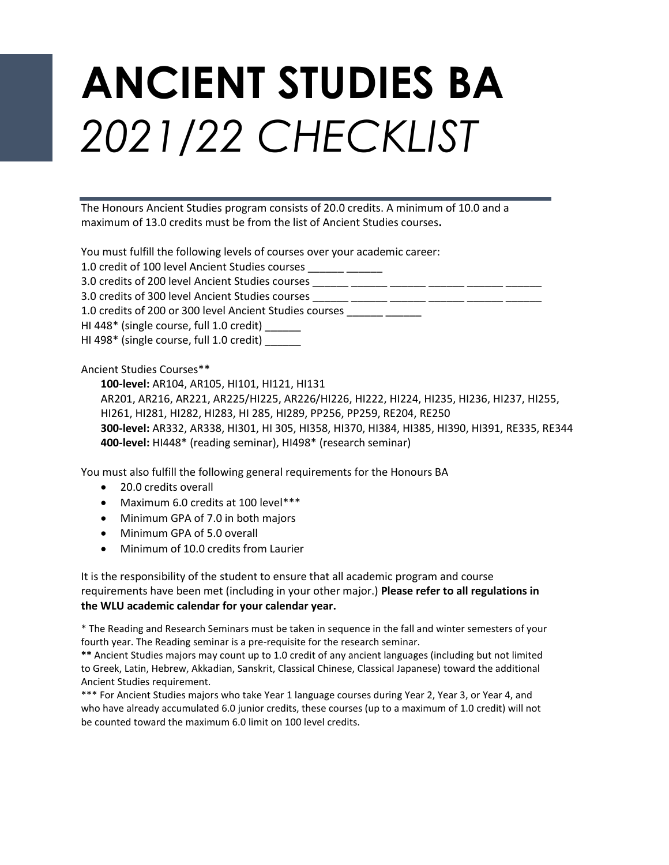## **ANCIENT STUDIES BA**  *2021/22 CHECKLIST*

The Honours Ancient Studies program consists of 20.0 credits. A minimum of 10.0 and a maximum of 13.0 credits must be from the list of Ancient Studies courses**.**

You must fulfill the following levels of courses over your academic career:

| 1.0 credit of 100 level Ancient Studies courses |  |
|-------------------------------------------------|--|
|                                                 |  |

3.0 credits of 200 level Ancient Studies courses \_\_\_\_\_\_ \_\_\_\_\_\_ \_\_\_\_\_\_

3.0 credits of 300 level Ancient Studies courses \_\_\_\_\_\_ \_\_\_\_\_\_ \_\_\_\_\_\_ \_\_\_\_\_\_ \_\_\_\_\_\_ \_\_\_\_\_\_

1.0 credits of 200 or 300 level Ancient Studies courses \_\_\_\_\_\_ \_\_\_\_\_\_

HI 448\* (single course, full 1.0 credit) \_\_\_\_\_\_

HI 498\* (single course, full 1.0 credit) \_\_\_\_\_\_

Ancient Studies Courses\*\*

**100-level:** AR104, AR105, HI101, HI121, HI131 AR201, AR216, AR221, AR225/HI225, AR226/HI226, HI222, HI224, HI235, HI236, HI237, HI255, HI261, HI281, HI282, HI283, HI 285, HI289, PP256, PP259, RE204, RE250 **300-level:** AR332, AR338, HI301, HI 305, HI358, HI370, HI384, HI385, HI390, HI391, RE335, RE344 **400-level:** HI448\* (reading seminar), HI498\* (research seminar)

You must also fulfill the following general requirements for the Honours BA

- 20.0 credits overall
- Maximum 6.0 credits at 100 level\*\*\*
- Minimum GPA of 7.0 in both majors
- Minimum GPA of 5.0 overall
- Minimum of 10.0 credits from Laurier

It is the responsibility of the student to ensure that all academic program and course requirements have been met (including in your other major.) **Please refer to all regulations in the WLU academic calendar for your calendar year.**

\* The Reading and Research Seminars must be taken in sequence in the fall and winter semesters of your fourth year. The Reading seminar is a pre-requisite for the research seminar.

**\*\*** Ancient Studies majors may count up to 1.0 credit of any ancient languages (including but not limited to Greek, Latin, Hebrew, Akkadian, Sanskrit, Classical Chinese, Classical Japanese) toward the additional Ancient Studies requirement.

\*\*\* For Ancient Studies majors who take Year 1 language courses during Year 2, Year 3, or Year 4, and who have already accumulated 6.0 junior credits, these courses (up to a maximum of 1.0 credit) will not be counted toward the maximum 6.0 limit on 100 level credits.